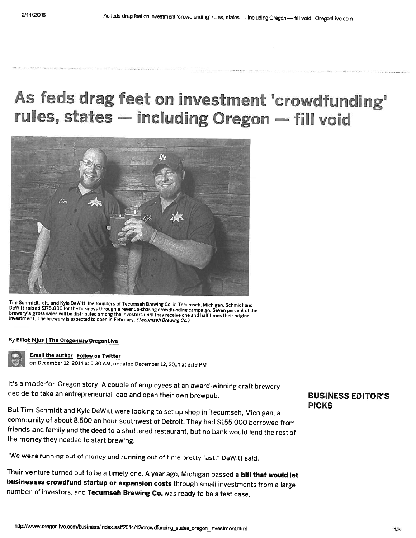# As feds drag feet on investment 'crowdfunding'<br>rules, states — including Oregon — fill void



Tim Schmidt, left, and Kyle DeWitt, the founders of Tecumseh Brewing Co. in Tecumseh, Michigan. Schmidt and<br>DeWitt raised \$175,000 for the business through a revenue-sharing crowdfunding campaign. Seven percent of the<br>brew

#### By Elliot Njus | The Oregonian/OregonLive

#### Email the author | Follow on Twitter

on December 12, <sup>2014</sup> at 5:30 AM, updated December 12, <sup>2014</sup> at 3:19 PM

It's <sup>a</sup> made-for-Oregon story: <sup>A</sup> couple of employees at an award-winning craft brewery decide to take an entrepreneurial leap and open their own brewpub.

But Tim Schmidt and Kyle DeWitt were looking to set up shop in Tecumseh, Michigan, <sup>a</sup> community of about 8,500 an hour southwest of Detroit. They had \$155,000 borrowed from friends and family and the deed to <sup>a</sup> shuttered restaurant, but no bank would lend the rest of the money they needed to start brewing.

"We were running out of money and running out of time pretty fast," DeWitt said.

Their venture turned out to be a timely one. A year ago, Michigan passed a bill that would let businesses crowdfund startup or expansion costs through small investments from <sup>a</sup> large number of investors, and Tecumseh Brewing Co. was ready to be <sup>a</sup> test case.

### BUSINESS EDITOR'S **PICKS**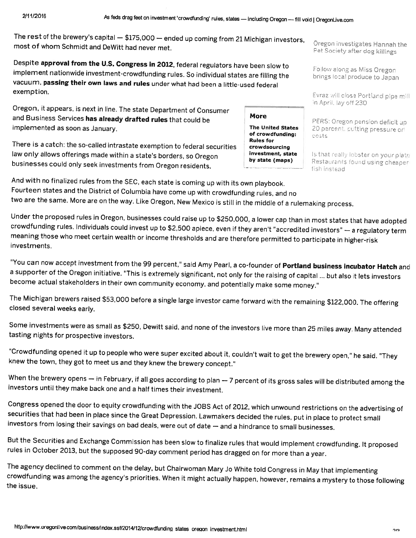The rest of the brewery's capital — \$175,000 — ended up coming from <sup>21</sup> Michigan investors, most of whom Schmidt and DeWitt had never met.<br>Pet Society after dog killings

implement nationwide investment-crowdfunding rules. So individual states are filling the strates brings local produce to Despite approval from the U.S. Congress in 2012, federal regulators have been slow to **Follow along as Miss**<br>Implement actionwide investor vacuum, passing their own laws and rules under what had been a little-used federal exemption. Evraz will close Portland pipe mill

Oregon, it appears, is next in line. The state Department of Consumer and Business Services has already drafted rules that could be **More** implemented as soon as January.<br> **Finally and Society and Society And States** of crowdfunding:

There is a catch: the so-called intrastate exemption to federal securities<br>law only allows offerings made within a state's borders, so Oregon law only allows offerings made within a state's borders, so Oregon investment, state is that really lobster on your plate by state (maps) businesses could only seek investments from Oregon residents, and the property of th

in April, lay off 230

PERS: Oregon pension deficit up 20 percent, putting pressure on costs

fish instead

And with no finalized rules from the SEC, each state is coming up with its own <sup>p</sup>layhook. Fourteen states and the District of Columbia have come up with crowdfunding rules, and no two are the same. More are on the way. Like Oregon, New Mexico is still in the middle ot <sup>a</sup> rulemaking process.

Under the proposed rules in Oregon, businesses could raise up to \$250,000, a lower cap than in most states that have adopted<br>crowdfunding rules. Individuals could invest up to \$2,500 apiece, even if they aren't "accredited

"You can now accept investment from the 99 percent," said Amy Pearl, a co-founder of **Portland business incubator Hatch** and <sup>a</sup> supporter of the Oregon initiative. "This is extremely significant, not only for the raising of capital ... but also it lets investors become actual stakeholders in their own community economy, and potentially make some money."

The Michigan brewers raised \$53,000 before <sup>a</sup> single large investor came forward with the remaining \$122,000. The offering closed several weeks early.

Some investments were as small as \$250, Dewitt said, and none of the investors live more than 25 miles away. Many attended<br>tasting nights for prospective investors.

"Crowdfunding opened it up to people who were super excited about it, couldn't wait to get the brewery open," he said. "They<br>knew the town, they got to meet us and they knew the brewery concept."

When the brewery opens — in February, if all goes according to plan — 7 percent of its gross sales will be distributed among the<br>investors until they make back one and a half times their investment.

Congress opened the door to equity crowdfunding with the JOBS Act of 2012, which unwound restrictions on the advertising of securities that had been in place since the Great Depression. Lawmakers decided the rules, put in

But the Securities and Exchange Commission has been slow to finalize rules that would implement crowdfunding. It proposed rules in October 2013, but the supposed 90-day comment period has dragged on for more than <sup>a</sup> year.

The agency declined to comment on the delay, but Chairwoman Mary Jo White told Congress in May that implementing<br>crowdfunding was among the agency's priorities. When it might actually happen, however, remains a mystery to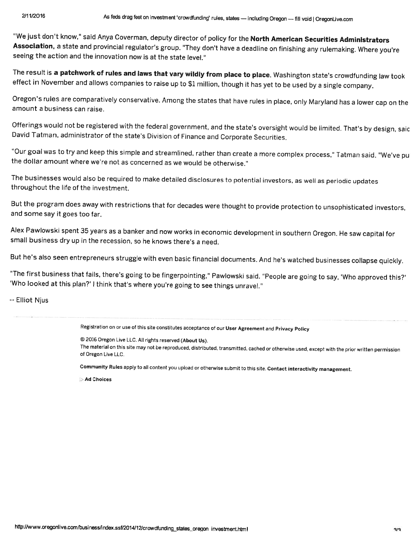"We just don't know," said Anya Coverman, deputy director of policy for the North American Securities Administrators Association, a state and provincial regulator's group. "They don't have a deadline on finishing any rulemaking. Where you're<br>seeing the action and the innovation now is at the state level."

The result is a patchwork of rules and laws that vary wildly from place to place. Washington state's crowdfunding law took<br>effect in November and allows companies to raise up to \$1 million, though it has yet to be used by

Oregon's rules are comparatively conservative. Among the states that have rules in <sup>p</sup>lace, only Maryland has <sup>a</sup> lower cap on the amount a business can raise.

Offerings would not be registered with the federal government, and the state's oversight would be limited. That's by design, saic<br>David Tatman, administrator of the state's Division of Finance and Corporate Securities.

"Our goal was to try and keep this simple and streamlined, rather than create a more complex process," Tatman said. "We've pu<br>the dollar amount where we're not as concerned as we would be otherwise."

The businesses would also be required to make detailed disclosures to potential investors, as well as periodic updates throughout the life of the investment.

But the program does away with restrictions that for decades were thought to provide protection to unsophisticated investors, and some say it goes too far.

Alex Pawlowski spent 35 years as a banker and now works in economic development in southern Oregon. He saw capital for<br>small business dry up in the recession, so he knows there's a need.

But he's also seen entrepreneurs struggle with even basic financial documents. And he's watched businesses collapse quickly.

"The first business that fails, there's going to be fingerpointing," Pawlowski said. "People are going to say, 'Who approved this?'<br>'Who looked at this plan?' I think that's where you're going to see things unravel."

--Elliot Njus

Registration on or use of this site constitutes acceptance of our User Agreement and Privacy Policy

© <sup>2016</sup> Oregon Live LLC. All rights reserved (About Us).

The material on this site may not be reproduced, distributed, transmitted, cached or otherwise used, except with the prior written permission of Oregon Live LLC.

Community Rules apply to all content you upload or otherwise submit to this site, Contact interactivity management.

**Ad Choices**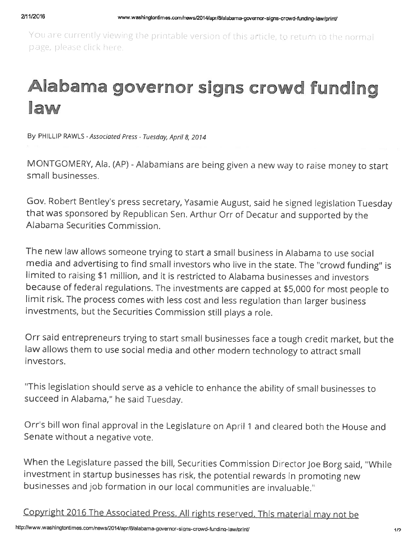You are currently viewing the printable version of this article, to return to the normal page, please click here.

# Alabama governor signs crowd funding law

By PHILLIP RAWLS - Associated Press - Tuesday, April 8, 2014

MONTGOMERY, Ala. (AP) - Alabamians are being given a new way to raise money to start small businesses.

Gov. Robert Bentley's press secretary, Yasamie August, said he signed legislation Tuesday that was sponsored by Republican Sen. Arthur Orr of Decatur and supported by the Alabama Securities Commission.

The new law allows someone trying to start a small business in Alabama to use social media and advertising to find small investors who live in the state. The "crowd funding" is limited to raising \$1 million, and it is restricted to Alabama businesses and investors because of federal regulations. The investments are capped at \$5,000 for most people to limit risk. The process comes with less cost and less regulation than larger business investments, but the Securities Commission still <sup>p</sup>lays <sup>a</sup> role.

Orr said entrepreneurs trying to start small businesses face <sup>a</sup> tough credit market, but the law allows them to use social media and other modern technology to attract small investors.

"This legislation should serve as <sup>a</sup> vehicle to enhance the ability of small businesses to succeed in Alabama," he said Tuesday.

Orr's bill won final approval in the Legislature on April 1 and cleared both the House and Senate without <sup>a</sup> negative vote.

When the Legislature passed the bill, Securities Commission Director Joe Borg said, "While investment in startup businesses has risk, the potential rewards in promoting new businesses and job formation in our local communities are invaluable."

Copyright 2016 The Associated Press. All rights reserved. This material may not be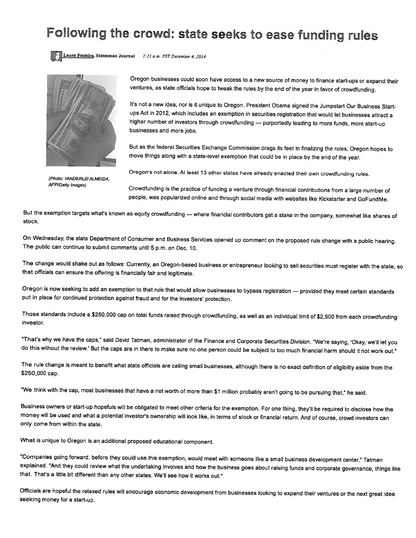### Following the crowd: state seeks to ease funding rules





Photo: VANDERLEI ALMEIDA, AFP/Getty Images)

Oregon businesses could soon have access to <sup>a</sup> new source of money to finance start-ups or expand their ventures, as state officials hope to tweak the rules by the end of the year in favor of crowdfunding.

It's not <sup>a</sup> new idea, nor is it unique to Oregon. President Obama signed the Jumpstart Our Business Start ups Act in 2012, which includes an exemption in securities registration that would let businesses attract <sup>a</sup> higher number of investors through crowdfunding - purportedly leading to more funds, more start-up businesses and more jobs.

But as the federal Securities Exchange Commission drags its feet in finalizing the rules, Oregon hopes to move things along with <sup>a</sup> state-level exemption that could be in <sup>p</sup>lace by the end of the year.

Oregon's not alone. At least <sup>13</sup> other states have already enacted their own crowdfunding rules.

Crowdfunding is the practice of funding <sup>a</sup> venture through financial contributions from <sup>a</sup> large number of people, was popularized online and through social media with websites like Kickstarter and GoFundMe.

But the exemption targets what's known as equity crowdfunding --- where financial contributors get a stake in the company, somewhat like shares of stock.

On Wednesday, the state Department of Consumer and Business Services opened up comment on the proposed rule change with <sup>a</sup> public hearing. The public can continue to submit comments until <sup>5</sup> p.m. on Dec. 10.

The change would shake out as follows: Currently, an Oregon-based business or entrepreneur looking to sell securities must register with the state, so that officials can ensure the offering is financially fair and legitimate.

Oregon is now seeking to add an exemption to that rule that would allow businesses to bypass registration — provided they meet certain standards put in <sup>p</sup>lace for continued protection against fraud and for the investors' protection.

Those standards include <sup>a</sup> \$250,000 cap on total funds raised through crowdfunding, as well as an individual limit of \$2,500 from each crowdfunding investor.

"That's why we have the caps," said David Tatman, administrator of the Finance and Corporate Securities Division. "We're saying, 'Okay, we'll let you do this without the review.' But the caps are in there to make sure no one person could be subject to too much financial harm should it not work out."

The rule change is meant to benefit what state officials are calling small businesses, although there is no exact definition of eligibility aside from the \$250,000 cap.

"We think with the cap, most businesses that have a net worth of more than \$1 million probably aren't going to be pursuing that," he said.

Business owners or start-up hopefuls will be obligated to meet other criteria for the exemption. For one thing, they'll be required to disclose how the money will be used and what <sup>a</sup> potential investor's ownership will look like, in terms of stock or financial return. And of course, crowd investors can only come from within the state.

What is unique to Oregon is an additional proposed educational component.

"Companies going forward, before they could use this exemption, would meet with someone like <sup>a</sup> small business development center," Tatman explained. "And they could review what the undertaking involves and how the business goes about raising funds and corporate governance, things like that. That's <sup>a</sup> little bit different than any other states. We'll see how it works out."

Officials are hopeful the relaxed rules will encourage economic development from businesses looking to expand their ventures or the next great idea seeking money for <sup>a</sup> start-up.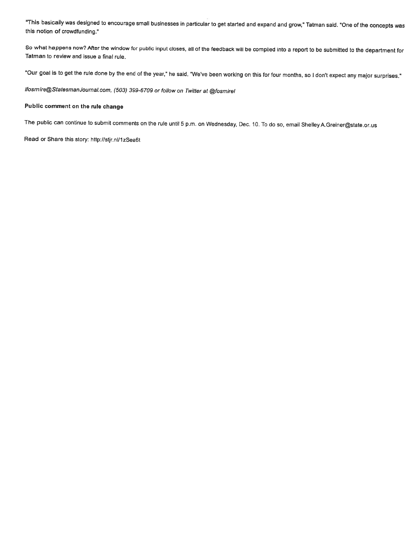"This basically was designed to encourage small businesses in particular to get started and expand and grow," Tatman said. "One of the concepts was this notion of crowdfunding."

So what happens now? After the window for public input closes, all of the feedback will be compiled into <sup>a</sup> report to be submitted to the department for Tatman to review and issue <sup>a</sup> final rule.

'Our goal is to get the rule done by the end of the year," he said. "We've been working on this for four months, so <sup>I</sup> don't expect any major surprises."

lfosmire@StatesmanJournal.com, (503) 399-6709 or follow on Twitter at @fosmirel

#### Public comment on the rule change

The public can continue to submit comments on the rule until <sup>5</sup> p.m. on Wednesday, Dec. 10. To do so, email Shelley A.Greiner@state.or.us

Read or Share this story: http://stjr.nl/1zSea6t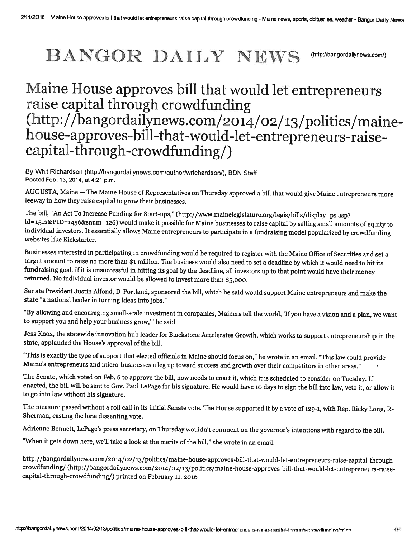### BANGOR DAILY NEW (http://bangordailynews.com/)

## Maine House approves bill that would let entrepreneurs<br>raise capital through crowdfunding (http://bangordailynews.com/2014/02/13/politics/mainehouse-approves-bill-that-would-let-entrepreneurs-raisecapital-through-crowdfunding/)

By Whit Richardson (http://bangordailynews.com/author/wrichardson/), BDN Staff Posted Feb. 13, 2014, at 4:21 p.m.

AUGUSTA, Maine — The Maine House of Representatives on Thursday approved a bill that would give Maine entrepreneurs more leeway in how they raise capital to grow their businesses.

The bill, "An Act To Increase Funding for Start-ups," (http://www.mainelegislature.org/legis/bills/display\_ps.asp?<br>ld=1512&PID=1456&snum=126) would make it possible for Maine businesses to raise capital by selling small am individual investors. It essentially allows Maine entrepreneurs to participate in <sup>a</sup> fundraising model popularized by crowdfunding websites like Kickstarter.

Businesses interested in participating in crowdfunding would be required to register with the Maine Office of Securities and set <sup>a</sup> target amount to raise no more than \$1 million. The business would also need to set a deadline by which it would need to hit its fundraising goal. If it is unsuccessful in hitting its goal by the deadline, all investors up to that point would have their money returned. No individual investor would be allowed to invest more than \$5,000.

Senate President Justin Alfond, D-Portland, sponsored the bill, which he said would support Maine entrepreneurs and make the state "a national leader in turning ideas into jobs."

"By allowing and encouraging small-scale investment in companies, Mainers tell the world, 'If you have <sup>a</sup> vision and <sup>a</sup> <sup>p</sup>lan, we want to support you and help your business grow," he said.

Jess Knox, the statewide innovation hub leader for Blackstone Accelerates Growth, which works to support entrepreneurship in the state, applauded the House's approval of the bill.

"This is exactly the type of support that elected officials in Maine should focus on," he wrote in an email. "This law could provide Maine's entrepreneurs and micro-businesses <sup>a</sup> leg up toward success and growth over their competitors in other areas."

The Senate, which voted on Feb. 6 to approve the bill, now needs to enact it, which it is scheduled to consider on Tuesday. If enacted, the bill will be sent to Gov. Paul LePage for his signature. He would have <sup>10</sup> days to sign the bill into law, veto it, or allow it to go into law without his signature.

The measure passed without <sup>a</sup> roll call in its initial Senate vote. The House supported it by <sup>a</sup> vote of 129-1, with Rep. Ricky Long, R Sherman, casting the lone dissenting vote.

Adrienne Bennett, LePage's press secretary, on Thursday wouldn't comment on the governor's intentions with regard to the bill.

"When it gets down here, we'll take a look at the merits of the bill," she wrote in an email.

http://bangordailynews.com/2014/02/13/politics/maine-house-approves-bill-that-would-let-entrepreneurs-raise-capital-throughcrowdfunding/(http://bangordailynews.com/2014/02/13/politics/maine-house-approves-bill-that-would-let-entrepreneurs-raisecapital-through-crowdfunding/) printed on February 11, <sup>2016</sup>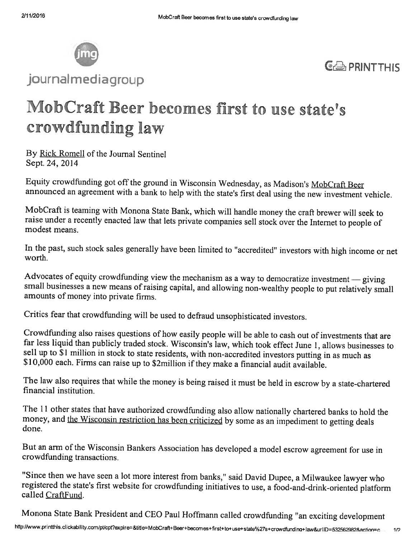

journalmediagroup



### MobCraft Beer becomes first to use state's crowdfunding law

By Rick Romell of the Journal Sentinel Sept. 24, 2014

Equity crowdfunding got off the ground in Wisconsin Wednesday, as Madison's MobCraft Beer announced an agreement with a bank to help with the state's first deal using the new investment vehicle.

MobCraft is teaming with Monona State Bank, which will handle money the craft brewer will seek to raise under <sup>a</sup> recently enacted law that lets private companies sell stock over the Internet to people of modest means.

In the past, such stock sales generally have been limited to "accredited" investors with high income or net worth.

Advocates of equity crowdfunding view the mechanism as a way to democratize investment — giving small businesses a new means of raising capital, and allowing non-wealthy people to put relatively small amounts of money into private firms.

Critics fear that crowdftinding will be used to defraud unsophisticated investors.

Crowdfunding also raises questions of how easily people will he able to cash out of investments that are far less liquid than publicly traded stock. Wisconsin's law, which took effect June 1, allows businesses to sell up to \$1 million in stock to state residents, with non-accredited investors putting in as much as \$10,000 each. Firms can raise up to \$2million if they make a financial audit available.

The law also requires that while the money is being raised it must be held in escrow by <sup>a</sup> state-chartered financial institution.

The 11 other states that have authorized crowd funding also allow nationally chartered banks to hold the money, and the Wisconsin restriction has been criticized by some as an impediment to getting deals done.

But an arm of the Wisconsin Bankers Association has developed <sup>a</sup> model escrow agreement for use in crowdfunding transactions.

"Since then we have seen <sup>a</sup> lot more interest from banks," said David Dupee, <sup>a</sup> Milwaukee lawyer who registered the state's first website for crowdfunding initiatives to use, <sup>a</sup> food-and-drink-oriented <sup>p</sup>latform called CraftFund.

Monona State Bank President and CEO Paul Hoffmann called crowdfunding "an exciting development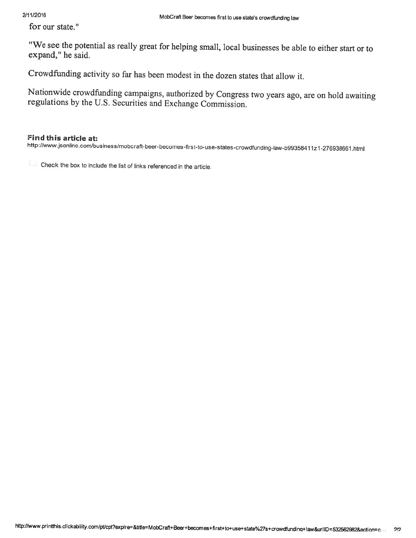for our state."

"We see the potential as really great for helping small, local businesses be able to either start or to expand," he said.

Crowdfunding activity so far has been modest in the dozen states that allow it.

Nationwide crowdftnding campaigns, authorized by Congress two years ago, are on hold awaiting regulations by the U.S. Securities and Exchange Commission.

#### Find this article at:

http://www.jsonline.com/business/mobcraft-beer-becomes-first-to-use-states-crowdfunding-law-b99358411z1-276938661.html

Check the box to include the list of links referenced in the article.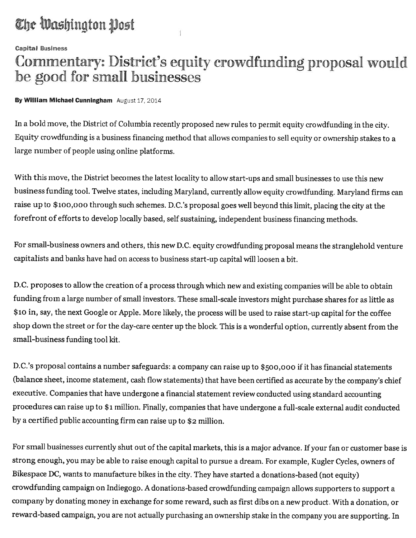### The Washington Post

**Capital Business** 

### Commentary: District's equity crowdfunding proposal would be good for small businesses

#### By William Michael Cunningham August 17, 2014

In a bold move, the District of Columbia recently proposed new rules to permit equity crowdfunding in the city. Equity crowdfunding is a business financing method that allows companies to sell equity or ownership stakes to a large number of people using online <sup>p</sup>latforms.

With this move, the District becomes the latest locality to allow start-ups and small businesses to use this new business funding tool. Twelve states, including Maryland, currently allow equity crowdfunding. Maryland firms can raise upto \$ioo,ooo through such schemes. D.C.'s proposa<sup>l</sup> goes well beyond this limit, <sup>p</sup>lacing the city at the forefront of efforts to develop locally based, self sustaining, independent business financing methods.

For small-business owners and others, this new D.C. equity crowdfunding proposa<sup>l</sup> means the stranglehold venture capitalists and banks have had on access to business start-up capital will loosen <sup>a</sup> bit.

D.C. proposes to allow the creation of <sup>a</sup> process through which new and existing companies will be able to obtain funding from <sup>a</sup> large number of small investors. These small-scale investors might purchase shares for as little as \$io in, say, the next Google or Apple. More likely, the process will be used to raise start-up capital for the coffee shop down the street or for the day-care center up the block. This is a wonderful option, currently absent from the small-business funding tool kit.

D.C.'s proposa<sup>l</sup> contains <sup>a</sup> number safeguards: <sup>a</sup> company can raise up to \$500,000 if it has financial statements (balance sheet, income statement, cash flow statements) that have been certified as accurate by the company's chief executive. Companies that have undergone <sup>a</sup> financial statement review conducted using standard accounting procedures can raise up to \$1 million. Finally, companies that have undergone a full-scale external audit conducted by <sup>a</sup> certified public accounting firm can raise up to \$2 million.

For small businesses currently shut out of the capital markets, this is a major advance. If your fan or customer base is strong enough, you may be able to raise enoug<sup>h</sup> capital to pursue <sup>a</sup> dream. For example, Kugler Cycles, owners of Bikespace DC, wants to manufacture bikes in the city. They have started <sup>a</sup> donations-based (not equity) crowdfunding campaign on Indiegogo. <sup>A</sup> donations-based crowdfunding campaign allows supporters to support <sup>a</sup> company by donating money in exchange for some reward, such as first dibs on <sup>a</sup> new product. With <sup>a</sup> donation, or reward-based campaign, you are not actually purchasing an ownership stake in the company you are supporting. In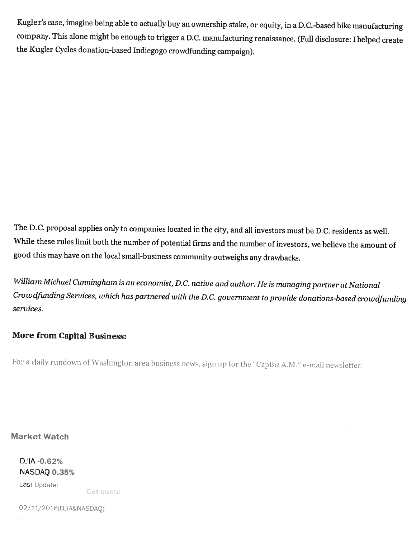Kugler's case, imagine being able to actually buy an ownership stake, or equity, in <sup>a</sup> D.C.-based bike manufacturing company. This alone might be enoug<sup>h</sup> to trigger <sup>a</sup> D.C. manufacturing renaissance. (Full disclosure: <sup>I</sup> helped create the Kugler Cycles donation-based Indiegogo crowdfunding campaign).

The D.C. proposal applies only to companies located in the city, and all investors must be D.C. residents as well. While these rules limit both the number of potential firms and the number of investors, we believe the amount of good this may have on the local small-business community outweighs any drawbacks.

William Michael Cunningham is an economist, D.C. native and author. He is managing partner at National Crowdfunding Services, which has partnered with the D.C. government to provide donations-based crowdfunding services.

### More from Capital Business:

For a daily rundown of Washington area business news, sign up for the "CapBiz A.M." e-mail newsletter.

Market Watch

DJ(A -0.62% NASDAQ 0.35% Last Update:

Get quote

02/11/2016(DJIA&NASDAQ)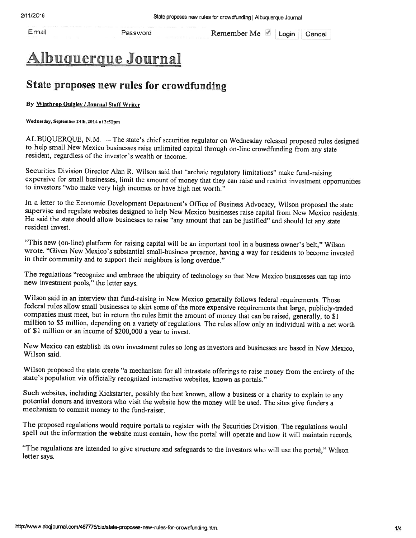Email Password Remember Me Login Cancel

### <u>Ibuquerque Journal</u>

### State proposes new rules for crowdfunding

#### By Winthrop Quigley / Journal Staff Writer

sdy, September 24th, <sup>2014</sup> at 3:51pm

ALBUQUERQUE, N.M. -- The state's chief securities regulator on Wednesday released proposed rules designed to help small New Mexico businesses raise unlimited capital through on-line crowdfunding from any state resident, regardless of the investor's wealth or income.

Securities Division Director Alan R. Wilson said that "archaic regulatory limitations" make fund-raising expensive for small businesses, limit the amount of money that they can raise and restrict investment opportunities to investors "who make very high incomes or have high net worth."

In a letter to the Economic Development Department's Office of Business Advocacy, Wilson proposed the state supervise and regulate websites designed to help New Mexico businesses raise capital from New Mexico residents. He resident invest.

"This new (on-line) <sup>p</sup>latform for raising capital will be an important tool in <sup>a</sup> business owner's belt," Wilson wrote. "Given New Mexico's substantial small-business presence, having <sup>a</sup> way for residents to become invested in their community and to support their neighbors is long overdue."

The regulations "recognize and embrace the ubiquity of technology so that New Mexico businesses can tap into new investment pools," the letter says.

Wilson said in an interview that fund-raising in New Mexico generally follows federal requirements. Those federal rules allow small businesses to skirt some of the more expensive requirements that large, publicly-traded co

New Mexico can establish its own investment rules so long as investors and businesses are based in New Mexico, Wilson said.

Wilson proposed the state create "a mechanism for all intrastate offerings to raise money from the entirety of the state's population via officially recognized interactive websites, known as portals."

Such websites, including Kickstarter, possibly the best known, allow a business or a charity to explain to any potential donors and investors who visit the website how the money will be used. The sites give funders a mechanism to commit money to the fund-raiser.

The proposed regulations would require portals to register with the Securities Division. The regulations would spell out the information the wehsite must contain, how the portal will operate and how it will maintain records.

"The regulations are intended to <sup>g</sup>ive structure and safeguards to the investors who will use the portal," Wilson letter says.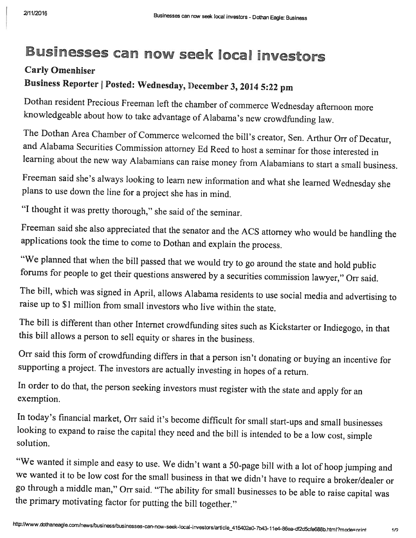### Businesses can now seek local investors

### Carly Omenhiser Business Reporter | Posted: Wednesday, December 3, 2014 5:22 pm

Dothan resident Precious Freeman left the chamber of commerce Wednesday afternoon more knowledgeable about how to take advantage of Alabama's new crowdfunding law.

The Dothan Area Chamber of Commerce welcomed the bill's creator, Sen. Arthur Orr of Decatur, and Alabama Securities Commission attorney Ed Reed to host a seminar for those interested in learning about the new way Alabamians can raise money from Alabamians to start <sup>a</sup> small business.

Freeman said she's always looking to learn new information and what she learned Wednesday she <sup>p</sup>lans to use down the line for <sup>a</sup> project she has in mind.

"1 thought it was pretty thorough," she said of the seminar.

Freeman said she also appreciated that the senator and the ACS attorney who would be handling the applications took the time to come to Dothan and explain the process.

"We planned that when the bill passed that we would try to go around the state and hold public forums for people to get their questions answered by a securities commission lawyer," Orr said.

The bill, which was signed in April, allows Alabama residents to use social media and advertising to raise up to \$1 million from small investors who live within the state.

The bill is different than other Internet crowdfunding sites such as Kickstarter or Indiegogo, in that this bill allows a person to sell equity or shares in the business.

Orr said this form of crowdfunding differs in that <sup>a</sup> person isn't donating or buying an incentive for supporting <sup>a</sup> project. The investors are actually investing in hopes of <sup>a</sup> return.

In order to do that, the person seeking investors must register with the state and apply for an exemption.

In today's financial market, Orr said it's become difficult for small start-ups and small businesses looking to expand to raise the capital they need and the bill is intended to be <sup>a</sup> low cost, simple solution.

"We wanted it simple and easy to use. We didn't want <sup>a</sup> 50-page bill with <sup>a</sup> lot of hoop jumping and we wanted it to be low cost for the small business in that we didn't have to require <sup>a</sup> broker/dealer or go through <sup>a</sup> middle man," Orr said. "The ability for small businesses to be able to raise capital was the primary motivating factor for putting the bill together."